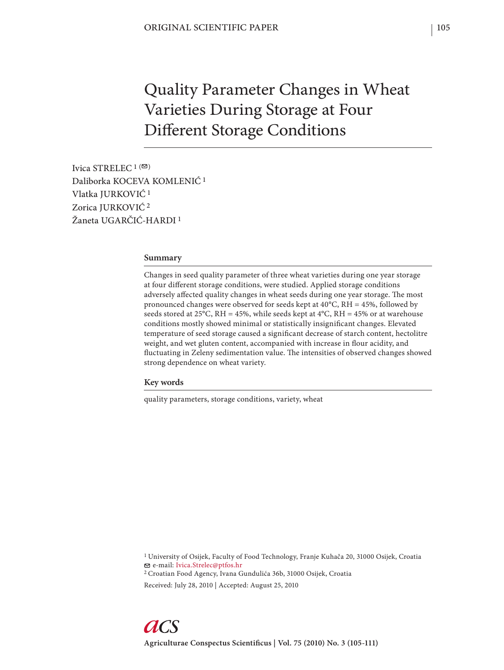# Quality Parameter Changes in Wheat Varieties During Storage at Four Different Storage Conditions

Ivica STRELEC  $1$  ( $\boxtimes$ ) Daliborka KOCEVA KOMLENIĆ 1 Vlatka JURKOVIĆ 1 Zorica JURKOVIĆ 2 Žaneta UGARČIĆ-HARDI 1

#### **Summary**

Changes in seed quality parameter of three wheat varieties during one year storage at four different storage conditions, were studied. Applied storage conditions adversely affected quality changes in wheat seeds during one year storage. The most pronounced changes were observed for seeds kept at 40°C, RH = 45%, followed by seeds stored at 25°C, RH = 45%, while seeds kept at  $4^{\circ}$ C, RH = 45% or at warehouse conditions mostly showed minimal or statistically insignificant changes. Elevated temperature of seed storage caused a significant decrease of starch content, hectolitre weight, and wet gluten content, accompanied with increase in flour acidity, and fluctuating in Zeleny sedimentation value. The intensities of observed changes showed strong dependence on wheat variety.

### **Key words**

quality parameters, storage conditions, variety, wheat

1 University of Osijek, Faculty of Food Technology, Franje Kuhača 20, 31000 Osijek, Croatia e-mail: Ivica.Strelec@ptfos.hr

2 Croatian Food Agency, Ivana Gundulića 36b, 31000 Osijek, Croatia

Received: July 28, 2010 | Accepted: August 25, 2010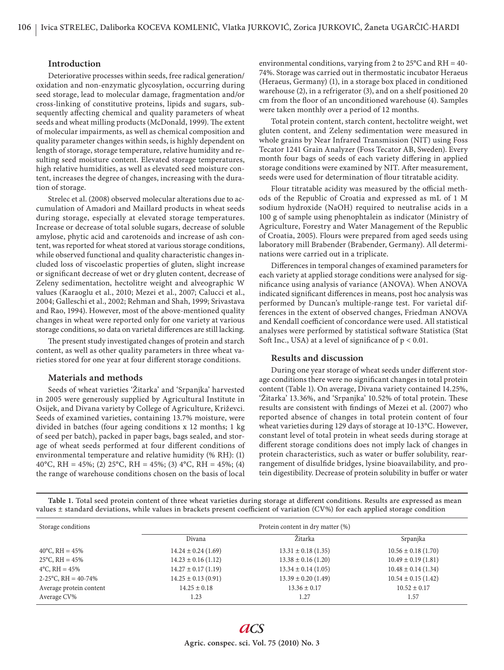## **Introduction**

Deteriorative processes within seeds, free radical generation/ oxidation and non-enzymatic glycosylation, occurring during seed storage, lead to molecular damage, fragmentation and/or cross-linking of constitutive proteins, lipids and sugars, subsequently affecting chemical and quality parameters of wheat seeds and wheat milling products (McDonald, 1999). The extent of molecular impairments, as well as chemical composition and quality parameter changes within seeds, is highly dependent on length of storage, storage temperature, relative humidity and resulting seed moisture content. Elevated storage temperatures, high relative humidities, as well as elevated seed moisture content, increases the degree of changes, increasing with the duration of storage.

Strelec et al. (2008) observed molecular alterations due to accumulation of Amadori and Maillard products in wheat seeds during storage, especially at elevated storage temperatures. Increase or decrease of total soluble sugars, decrease of soluble amylose, phytic acid and carotenoids and increase of ash content, was reported for wheat stored at various storage conditions, while observed functional and quality characteristic changes included loss of viscoelastic properties of gluten, slight increase or significant decrease of wet or dry gluten content, decrease of Zeleny sedimentation, hectolitre weight and alveographic W values (Karaoglu et al., 2010; Mezei et al., 2007; Calucci et al., 2004; Galleschi et al., 2002; Rehman and Shah, 1999; Srivastava and Rao, 1994). However, most of the above-mentioned quality changes in wheat were reported only for one variety at various storage conditions, so data on varietal differences are still lacking.

The present study investigated changes of protein and starch content, as well as other quality parameters in three wheat varieties stored for one year at four different storage conditions.

## **Materials and methods**

Seeds of wheat varieties 'Žitarka' and 'Srpanjka' harvested in 2005 were generously supplied by Agricultural Institute in Osijek, and Divana variety by College of Agriculture, Križevci. Seeds of examined varieties, containing 13.7% moisture, were divided in batches (four ageing conditions x 12 months; 1 kg of seed per batch), packed in paper bags, bags sealed, and storage of wheat seeds performed at four different conditions of environmental temperature and relative humidity (% RH): (1) 40°C, RH = 45%; (2) 25°C, RH = 45%; (3) 4°C, RH = 45%; (4) the range of warehouse conditions chosen on the basis of local

environmental conditions, varying from 2 to  $25^{\circ}$ C and RH = 40-74%. Storage was carried out in thermostatic incubator Heraeus (Heraeus, Germany) (1), in a storage box placed in conditioned warehouse (2), in a refrigerator (3), and on a shelf positioned 20 cm from the floor of an unconditioned warehouse (4). Samples were taken monthly over a period of 12 months.

Total protein content, starch content, hectolitre weight, wet gluten content, and Zeleny sedimentation were measured in whole grains by Near Infrared Transmission (NIT) using Foss Tecator 1241 Grain Analyzer (Foss Tecator AB, Sweden). Every month four bags of seeds of each variety differing in applied storage conditions were examined by NIT. After measurement, seeds were used for determination of flour titratable acidity.

Flour titratable acidity was measured by the official methods of the Republic of Croatia and expressed as mL of 1 M sodium hydroxide (NaOH) required to neutralise acids in a 100 g of sample using phenophtalein as indicator (Ministry of Agriculture, Forestry and Water Management of the Republic of Croatia, 2005). Flours were prepared from aged seeds using laboratory mill Brabender (Brabender, Germany). All determinations were carried out in a triplicate.

Differences in temporal changes of examined parameters for each variety at applied storage conditions were analysed for significance using analysis of variance (ANOVA). When ANOVA indicated significant differences in means, post hoc analysis was performed by Duncan's multiple-range test. For varietal differences in the extent of observed changes, Friedman ANOVA and Kendall coefficient of concordance were used. All statistical analyses were performed by statistical software Statistica (Stat Soft Inc., USA) at a level of significance of  $p < 0.01$ .

## **Results and discussion**

During one year storage of wheat seeds under different storage conditions there were no significant changes in total protein content (Table 1). On average, Divana variety contained 14.25%, 'Žitarka' 13.36%, and 'Srpanjka' 10.52% of total protein. These results are consistent with findings of Mezei et al. (2007) who reported absence of changes in total protein content of four wheat varieties during 129 days of storage at 10-13°C. However, constant level of total protein in wheat seeds during storage at different storage conditions does not imply lack of changes in protein characteristics, such as water or buffer solubility, rearrangement of disulfide bridges, lysine bioavailability, and protein digestibility. Decrease of protein solubility in buffer or water

Table 1. Total seed protein content of three wheat varieties during storage at different conditions. Results are expressed as mean values ± standard deviations, while values in brackets present coefficient of variation (CV%) for each applied storage condition

| Storage conditions             | Protein content in dry matter (%) |                         |                         |
|--------------------------------|-----------------------------------|-------------------------|-------------------------|
|                                | Divana                            | Žitarka                 | Srpanjka                |
| 40 <sup>o</sup> C, RH = $45\%$ | $14.24 \pm 0.24$ (1.69)           | $13.31 \pm 0.18$ (1.35) | $10.56 \pm 0.18$ (1.70) |
| $25^{\circ}$ C, RH = 45%       | $14.23 \pm 0.16$ (1.12)           | $13.38 \pm 0.16$ (1.20) | $10.49 \pm 0.19(1.81)$  |
| $4^{\circ}$ C, RH = $45\%$     | $14.27 \pm 0.17(1.19)$            | $13.34 \pm 0.14$ (1.05) | $10.48 \pm 0.14$ (1.34) |
| 2-25 °C, RH = $40-74\%$        | $14.25 \pm 0.13$ (0.91)           | $13.39 \pm 0.20$ (1.49) | $10.54 \pm 0.15$ (1.42) |
| Average protein content        | $14.25 \pm 0.18$                  | $13.36 \pm 0.17$        | $10.52 \pm 0.17$        |
| Average CV%                    | 1.23                              | 1.27                    | 1.57                    |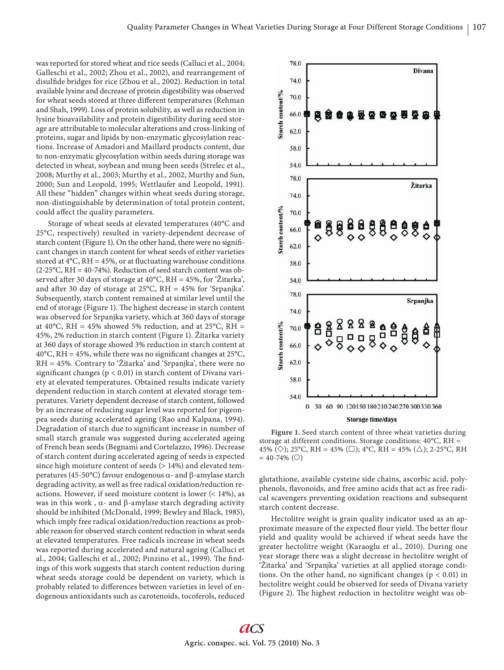was reported for stored wheat and rice seeds (Calluci et al., 2004; Galleschi et al., 2002; Zhou et al., 2002), and rearrangement of disulfide bridges for rice (Zhou et al., 2002). Reduction in total available lysine and decrease of protein digestibility was observed for wheat seeds stored at three different temperatures (Rehman and Shah, 1999). Loss of protein solubility, as well as reduction in lysine bioavailability and protein digestibility during seed storage are attributable to molecular alterations and cross-linking of proteins, sugar and lipids by non-enzymatic glycosylation reactions. Increase of Amadori and Maillard products content, due to non-enzymatic glycosylation within seeds during storage was detected in wheat, soybean and mung been seeds (Strelec et al., 2008; Murthy et al., 2003; Murthy et al., 2002, Murthy and Sun, 2000; Sun and Leopold, 1995; Wettlaufer and Leopold, 1991). All these "hidden" changes within wheat seeds during storage, non-distinguishable by determination of total protein content, could affect the quality parameters.

Storage of wheat seeds at elevated temperatures (40°C and 25°C, respectively) resulted in variety-dependent decrease of starch content (Figure 1). On the other hand, there were no significant changes in starch content for wheat seeds of either varieties stored at  $4^{\circ}$ C, RH = 45%, or at fluctuating warehouse conditions  $(2-25\degree C, RH = 40-74\%)$ . Reduction of seed starch content was observed after 30 days of storage at 40°C, RH = 45%, for 'Žitarka', and after 30 day of storage at 25°C, RH = 45% for 'Srpanjka'. Subsequently, starch content remained at similar level until the end of storage (Figure 1). The highest decrease in starch content was observed for Srpanjka variety, which at 360 days of storage at 40°C, RH = 45% showed 5% reduction, and at 25°C, RH = 45%, 2% reduction in starch content (Figure 1). Žitarka variety at 360 days of storage showed 3% reduction in starch content at 40°C, RH = 45%, while there was no significant changes at 25°C, RH = 45%. Contrary to 'Žitarka' and 'Srpanjka', there were no significant changes ( $p < 0.01$ ) in starch content of Divana variety at elevated temperatures. Obtained results indicate variety dependent reduction in starch content at elevated storage temperatures. Variety dependent decrease of starch content, followed by an increase of reducing sugar level was reported for pigeonpea seeds during accelerated ageing (Rao and Kalpana, 1994). Degradation of starch due to significant increase in number of small starch granule was suggested during accelerated ageing of French bean seeds (Begnami and Cortelazzo, 1996). Decrease of starch content during accelerated ageing of seeds is expected since high moisture content of seeds (> 14%) and elevated temperatures (45-50°C) favour endogenous  $\alpha$ - and  $\beta$ -amylase starch degrading activity, as well as free radical oxidation/reduction reactions. However, if seed moisture content is lower (< 14%), as was in this work,  $\alpha$ - and  $\beta$ -amylase starch degrading activity should be inhibited (McDonald, 1999; Bewley and Black, 1985), which imply free radical oxidation/reduction reactions as probable reason for observed starch content reduction in wheat seeds at elevated temperatures. Free radicals increase in wheat seeds was reported during accelerated and natural ageing (Calluci et al., 2004; Galleschi et al., 2002; Pinzino et al., 1999). The findings of this work suggests that starch content reduction during wheat seeds storage could be dependent on variety, which is probably related to differences between varieties in level of endogenous antioxidants such as carotenoids, tocoferols, reduced



Figure 1. Seed starch content of three wheat varieties during storage at different conditions. Storage conditions: 40°C, RH = 45% ( $\diamondsuit$ ); 25°C, RH = 45% ( $\square$ ); 4°C, RH = 45% ( $\triangle$ ); 2-25°C, RH  $= 40 - 74\%$  (O)

glutathione, available cysteine side chains, ascorbic acid, polyphenols, flavonoids, and free amino acids that act as free radical scavengers preventing oxidation reactions and subsequent starch content decrease.

Hectolitre weight is grain quality indicator used as an approximate measure of the expected flour yield. The better flour yield and quality would be achieved if wheat seeds have the greater hectolitre weight (Karaoglu et al., 2010). During one year storage there was a slight decrease in hectolitre weight of 'Žitarka' and 'Srpanjka' varieties at all applied storage conditions. On the other hand, no significant changes ( $p < 0.01$ ) in hectolitre weight could be observed for seeds of Divana variety (Figure 2). The highest reduction in hectolitre weight was ob-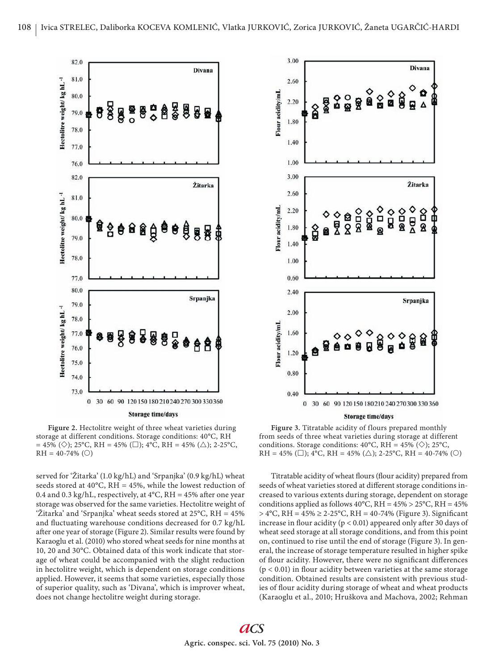

**Figure 2.** Hectolitre weight of three wheat varieties during storage at different conditions. Storage conditions: 40°C, RH  $= 45\%$  ( $\diamondsuit$ ); 25°C, RH = 45% ( $\square$ ); 4°C, RH = 45% ( $\triangle$ ); 2-25°C,  $RH = 40-74\%$  (O)

served for 'Žitarka' (1.0 kg/hL) and 'Srpanjka' (0.9 kg/hL) wheat seeds stored at  $40^{\circ}$ C, RH =  $45\%$ , while the lowest reduction of 0.4 and 0.3 kg/hL, respectively, at  $4^{\circ}$ C, RH = 45% after one year storage was observed for the same varieties. Hectolitre weight of 'Žitarka' and 'Srpanjka' wheat seeds stored at 25°C, RH = 45% and fluctuating warehouse conditions decreased for 0.7 kg/hL after one year of storage (Figure 2). Similar results were found by Karaoglu et al. (2010) who stored wheat seeds for nine months at 10, 20 and 30°C. Obtained data of this work indicate that storage of wheat could be accompanied with the slight reduction in hectolitre weight, which is dependent on storage conditions applied. However, it seems that some varieties, especially those of superior quality, such as 'Divana', which is improver wheat, does not change hectolitre weight during storage.



**Figure 3.** Titratable acidity of flours prepared monthly from seeds of three wheat varieties during storage at different conditions. Storage conditions:  $40^{\circ}$ C, RH =  $45\%$  ( $\diamond$ ); 25 $^{\circ}$ C, RH = 45% ( $\square$ ); 4°C, RH = 45% ( $\triangle$ ); 2-25°C, RH = 40-74% ( $\bigcirc$ )

Titratable acidity of wheat flours (flour acidity) prepared from seeds of wheat varieties stored at different storage conditions increased to various extents during storage, dependent on storage conditions applied as follows  $40^{\circ}$ C, RH =  $45\%$  >  $25^{\circ}$ C, RH =  $45\%$  $> 4^{\circ}$ C, RH = 45%  $\geq 2$ -25°C, RH = 40-74% (Figure 3). Significant increase in flour acidity ( $p < 0.01$ ) appeared only after 30 days of wheat seed storage at all storage conditions, and from this point on, continued to rise until the end of storage (Figure 3). In general, the increase of storage temperature resulted in higher spike of flour acidity. However, there were no significant differences  $(p < 0.01)$  in flour acidity between varieties at the same storage condition. Obtained results are consistent with previous studies of flour acidity during storage of wheat and wheat products (Karaoglu et al., 2010; Hruškova and Machova, 2002; Rehman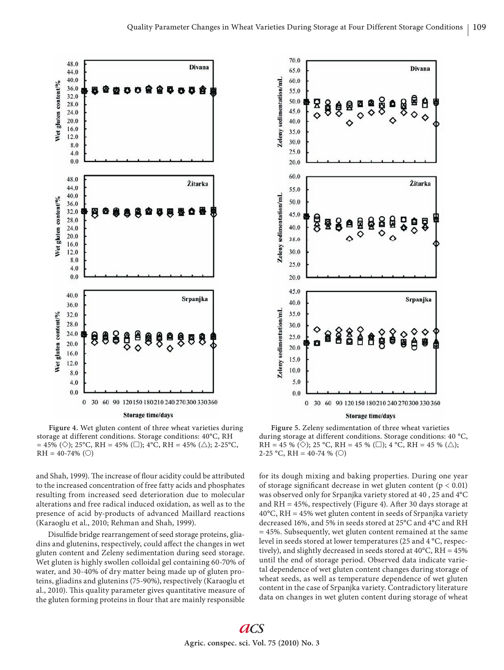

**Figure 4.** Wet gluten content of three wheat varieties during storage at different conditions. Storage conditions: 40°C, RH  $= 45\%$  ( $\diamondsuit$ ); 25°C, RH = 45% ( $\square$ ); 4°C, RH = 45% ( $\triangle$ ); 2-25°C,  $RH = 40-74\%$  (O)

and Shah, 1999). The increase of flour acidity could be attributed to the increased concentration of free fatty acids and phosphates resulting from increased seed deterioration due to molecular alterations and free radical induced oxidation, as well as to the presence of acid by-products of advanced Maillard reactions (Karaoglu et al., 2010; Rehman and Shah, 1999).

Disulfide bridge rearrangement of seed storage proteins, gliadins and glutenins, respectively, could affect the changes in wet gluten content and Zeleny sedimentation during seed storage. Wet gluten is highly swollen colloidal gel containing 60-70% of water, and 30-40% of dry matter being made up of gluten proteins, gliadins and glutenins (75-90%), respectively (Karaoglu et al., 2010). This quality parameter gives quantitative measure of the gluten forming proteins in flour that are mainly responsible



**Storage time/days** 

**Figure 5.** Zeleny sedimentation of three wheat varieties during storage at different conditions. Storage conditions: 40 °C, RH = 45 % ( $\diamondsuit$ ); 25 °C, RH = 45 % ( $\square$ ); 4 °C, RH = 45 % ( $\triangle$ ); 2-25 °C, RH = 40-74 % (O)

for its dough mixing and baking properties. During one year of storage significant decrease in wet gluten content ( $p < 0.01$ ) was observed only for Srpanjka variety stored at 40 , 25 and 4°C and  $RH = 45\%$ , respectively (Figure 4). After 30 days storage at  $40^{\circ}$ C, RH = 45% wet gluten content in seeds of Srpanjka variety decreased 16%, and 5% in seeds stored at 25°C and 4°C and RH = 45%. Subsequently, wet gluten content remained at the same level in seeds stored at lower temperatures (25 and 4 °C, respectively), and slightly decreased in seeds stored at 40°C, RH = 45% until the end of storage period. Observed data indicate varietal dependence of wet gluten content changes during storage of wheat seeds, as well as temperature dependence of wet gluten content in the case of Srpanjka variety. Contradictory literature data on changes in wet gluten content during storage of wheat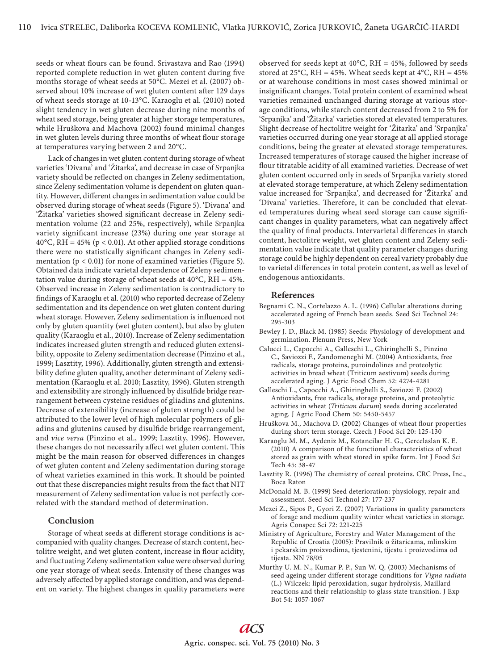seeds or wheat flours can be found. Srivastava and Rao (1994) reported complete reduction in wet gluten content during five months storage of wheat seeds at 50°C. Mezei et al. (2007) observed about 10% increase of wet gluten content after 129 days of wheat seeds storage at 10-13°C. Karaoglu et al. (2010) noted slight tendency in wet gluten decrease during nine months of wheat seed storage, being greater at higher storage temperatures, while Hruškova and Machova (2002) found minimal changes in wet gluten levels during three months of wheat flour storage at temperatures varying between 2 and 20°C.

Lack of changes in wet gluten content during storage of wheat varieties 'Divana' and 'Žitarka', and decrease in case of Srpanjka variety should be reflected on changes in Zeleny sedimentation, since Zeleny sedimentation volume is dependent on gluten quantity. However, different changes in sedimentation value could be observed during storage of wheat seeds (Figure 5). 'Divana' and 'Žitarka' varieties showed significant decrease in Zeleny sedimentation volume (22 and 25%, respectively), while Srpanjka variety significant increase (23%) during one year storage at 40°C, RH = 45% ( $p < 0.01$ ). At other applied storage conditions there were no statistically significant changes in Zeleny sedimentation ( $p < 0.01$ ) for none of examined varieties (Figure 5). Obtained data indicate varietal dependence of Zeleny sedimentation value during storage of wheat seeds at  $40^{\circ}$ C, RH =  $45\%$ . Observed increase in Zeleny sedimentation is contradictory to findings of Karaoglu et al. (2010) who reported decrease of Zeleny sedimentation and its dependence on wet gluten content during wheat storage. However, Zeleny sedimentation is influenced not only by gluten quantity (wet gluten content), but also by gluten quality (Karaoglu et al., 2010). Increase of Zeleny sedimentation indicates increased gluten strength and reduced gluten extensibility, opposite to Zeleny sedimentation decrease (Pinzino et al., 1999; Lasztity, 1996). Additionally, gluten strength and extensibility define gluten quality, another determinant of Zeleny sedimentation (Karaoglu et al. 2010; Lasztity, 1996). Gluten strength and extensibility are strongly influenced by disulfide bridge rearrangement between cysteine residues of gliadins and glutenins. Decrease of extensibility (increase of gluten strength) could be attributed to the lower level of high molecular polymers of gliadins and glutenins caused by disulfide bridge rearrangement, and *vice versa* (Pinzino et al., 1999; Lasztity, 1996). However, these changes do not necessarily affect wet gluten content. This might be the main reason for observed differences in changes of wet gluten content and Zeleny sedimentation during storage of wheat varieties examined in this work. It should be pointed out that these discrepancies might results from the fact that NIT measurement of Zeleny sedimentation value is not perfectly correlated with the standard method of determination.

## **Conclusion**

Storage of wheat seeds at different storage conditions is accompanied with quality changes. Decrease of starch content, hectolitre weight, and wet gluten content, increase in flour acidity, and fluctuating Zeleny sedimentation value were observed during one year storage of wheat seeds. Intensity of these changes was adversely affected by applied storage condition, and was dependent on variety. The highest changes in quality parameters were

observed for seeds kept at  $40^{\circ}$ C, RH = 45%, followed by seeds stored at 25 $^{\circ}$ C, RH = 45%. Wheat seeds kept at 4 $^{\circ}$ C, RH = 45% or at warehouse conditions in most cases showed minimal or insignificant changes. Total protein content of examined wheat varieties remained unchanged during storage at various storage conditions, while starch content decreased from 2 to 5% for 'Srpanjka' and 'Žitarka' varieties stored at elevated temperatures. Slight decrease of hectolitre weight for 'Žitarka' and 'Srpanjka' varieties occurred during one year storage at all applied storage conditions, being the greater at elevated storage temperatures. Increased temperatures of storage caused the higher increase of flour titratable acidity of all examined varieties. Decrease of wet gluten content occurred only in seeds of Srpanjka variety stored at elevated storage temperature, at which Zeleny sedimentation value increased for 'Srpanjka', and decreased for 'Žitarka' and 'Divana' varieties. Therefore, it can be concluded that elevated temperatures during wheat seed storage can cause significant changes in quality parameters, what can negatively affect the quality of final products. Intervarietal differences in starch content, hectolitre weight, wet gluten content and Zeleny sedimentation value indicate that quality parameter changes during storage could be highly dependent on cereal variety probably due to varietal differences in total protein content, as well as level of endogenous antioxidants.

### **References**

- Begnami C. N., Cortelazzo A. L. (1996) Cellular alterations during accelerated ageing of French bean seeds. Seed Sci Technol 24: 295-303
- Bewley J. D., Black M. (1985) Seeds: Physiology of development and germination. Plenum Press, New York
- Calucci L., Capocchi A., Galleschi L., Ghiringhelli S., Pinzino C., Saviozzi F., Zandomeneghi M. (2004) Antioxidants, free radicals, storage proteins, puroindolines and proteolytic activities in bread wheat (Triticum aestivum) seeds during accelerated aging. J Agric Food Chem 52: 4274-4281
- Galleschi L., Capocchi A., Ghiringhelli S., Saviozzi F. (2002) Antioxidants, free radicals, storage proteins, and proteolytic activities in wheat (*Triticum durum*) seeds during accelerated aging. J Agric Food Chem 50: 5450-5457
- Hruškova M., Machova D. (2002) Changes of wheat flour properties during short term storage. Czech J Food Sci 20: 125-130
- Karaoglu M. M., Aydeniz M., Kotancilar H. G., Gercelaslan K. E. (2010) A comparison of the functional characteristics of wheat stored as grain with wheat stored in spike form. Int J Food Sci Tech 45: 38-47
- Lasztity R. (1996) The chemistry of cereal proteins. CRC Press, Inc., Boca Raton
- McDonald M. B. (1999) Seed deterioration: physiology, repair and assessment. Seed Sci Technol 27: 177-237
- Mezei Z., Sipos P., Gyori Z. (2007) Variations in quality parameters of forage and medium quality winter wheat varieties in storage. Agris Conspec Sci 72: 221-225
- Ministry of Agriculture, Forestry and Water Management of the Republic of Croatia (2005): Pravilnik o žitaricama, mlinskim i pekarskim proizvodima, tjestenini, tijestu i proizvodima od tijesta. NN 78/05
- Murthy U. M. N., Kumar P. P., Sun W. Q. (2003) Mechanisms of seed ageing under different storage conditions for *Vigna radiata* (L.) Wilczek: lipid peroxidation, sugar hydrolysis, Maillard reactions and their relationship to glass state transition. J Exp Bot 54: 1057-1067